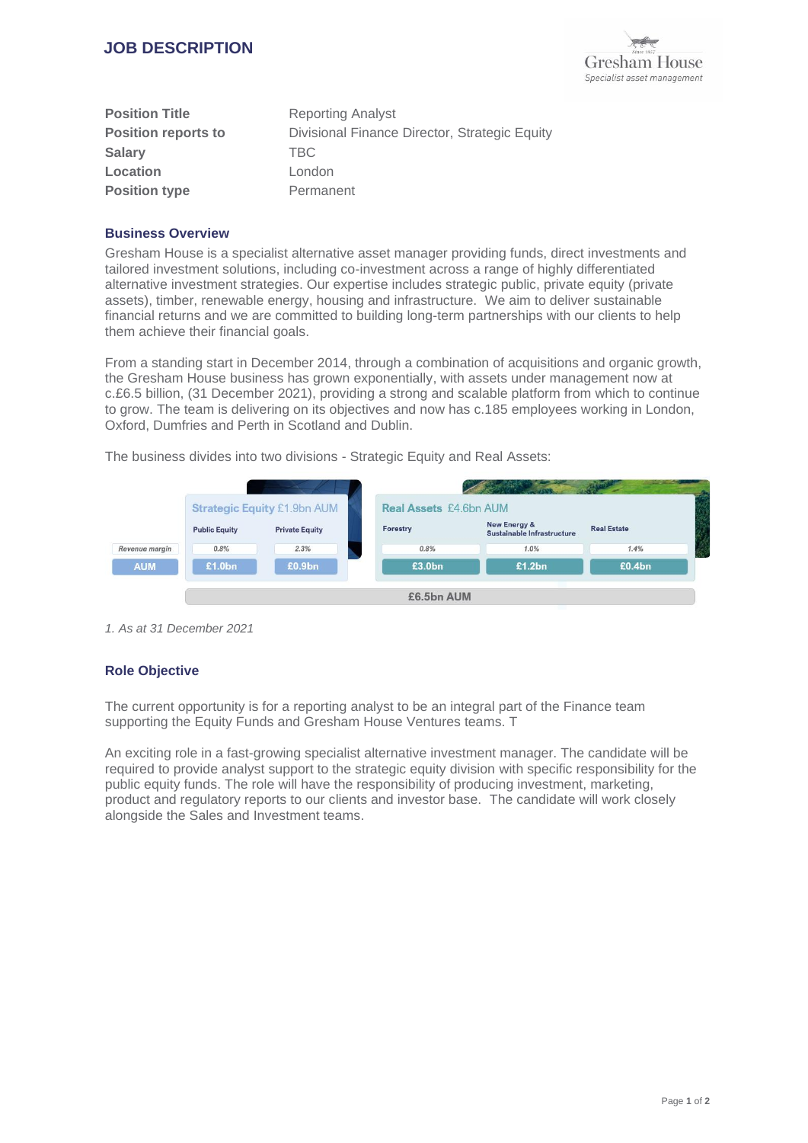

| <b>Position Title</b>      | <b>Reporting Analyst</b>                      |
|----------------------------|-----------------------------------------------|
| <b>Position reports to</b> | Divisional Finance Director, Strategic Equity |
| <b>Salary</b>              | <b>TBC</b>                                    |
| Location                   | London                                        |
| <b>Position type</b>       | Permanent                                     |

### **Business Overview**

Gresham House is a specialist alternative asset manager providing funds, direct investments and tailored investment solutions, including co-investment across a range of highly differentiated alternative investment strategies. Our expertise includes strategic public, private equity (private assets), timber, renewable energy, housing and infrastructure. We aim to deliver sustainable financial returns and we are committed to building long-term partnerships with our clients to help them achieve their financial goals.

From a standing start in December 2014, through a combination of acquisitions and organic growth, the Gresham House business has grown exponentially, with assets under management now at c.£6.5 billion, (31 December 2021), providing a strong and scalable platform from which to continue to grow. The team is delivering on its objectives and now has c.185 employees working in London, Oxford, Dumfries and Perth in Scotland and Dublin.

The business divides into two divisions - Strategic Equity and Real Assets:



*1. As at 31 December 2021*

#### **Role Objective**

The current opportunity is for a reporting analyst to be an integral part of the Finance team supporting the Equity Funds and Gresham House Ventures teams. T

An exciting role in a fast-growing specialist alternative investment manager. The candidate will be required to provide analyst support to the strategic equity division with specific responsibility for the public equity funds. The role will have the responsibility of producing investment, marketing, product and regulatory reports to our clients and investor base. The candidate will work closely alongside the Sales and Investment teams.